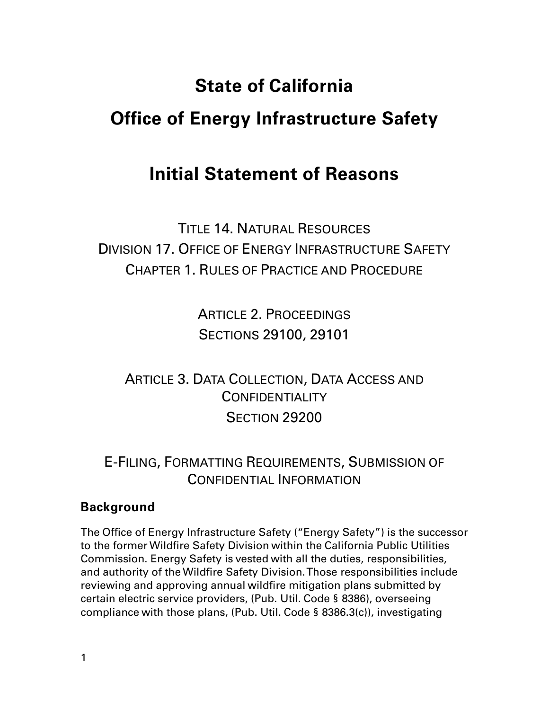# **State of California Office of Energy Infrastructure Safety**

## **Initial Statement of Reasons**

TITLE 14. NATURAL RESOURCES DIVISION 17. OFFICE OF ENERGY INFRASTRUCTURE SAFETY CHAPTER 1. RULES OF PRACTICE AND PROCEDURE

> ARTICLE 2. PROCEEDINGS SECTIONS 29100, 29101

ARTICLE 3. DATA COLLECTION, DATA ACCESS AND **CONFIDENTIALITY** SECTION 29200

E-FILING, FORMATTING REQUIREMENTS, SUBMISSION OF CONFIDENTIAL INFORMATION

## **Background**

The Office of Energy Infrastructure Safety ("Energy Safety") is the successor to the former Wildfire Safety Division within the California Public Utilities Commission. Energy Safety is vested with all the duties, responsibilities, and authority of the Wildfire Safety Division. Those responsibilities include reviewing and approving annual wildfire mitigation plans submitted by certain electric service providers, (Pub. Util. Code § 8386), overseeing compliance with those plans, (Pub. Util. Code § 8386.3(c)), investigating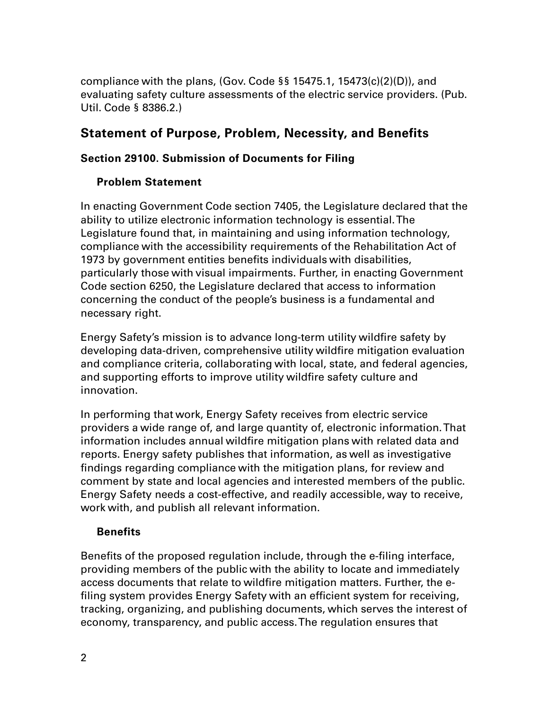compliance with the plans, (Gov. Code  $\S$ § 15475.1, 15473(c)(2)(D)), and evaluating safety culture assessments of the electric service providers. (Pub. Util. Code § 8386.2.)

## **Statement of Purpose, Problem, Necessity, and Benefits**

## **Section 29100. Submission of Documents for Filing**

## **Problem Statement**

In enacting Government Code section 7405, the Legislature declared that the ability to utilize electronic information technology is essential. The Legislature found that, in maintaining and using information technology, compliance with the accessibility requirements of the Rehabilitation Act of 1973 by government entities benefits individuals with disabilities, particularly those with visual impairments. Further, in enacting Government Code section 6250, the Legislature declared that access to information concerning the conduct of the people's business is a fundamental and necessary right.

Energy Safety's mission is to advance long-term utility wildfire safety by developing data-driven, comprehensive utility wildfire mitigation evaluation and compliance criteria, collaborating with local, state, and federal agencies, and supporting efforts to improve utility wildfire safety culture and innovation.

In performing that work, Energy Safety receives from electric service providers a wide range of, and large quantity of, electronic information. That information includes annual wildfire mitigation plans with related data and reports. Energy safety publishes that information, as well as investigative findings regarding compliance with the mitigation plans, for review and comment by state and local agencies and interested members of the public. Energy Safety needs a cost-effective, and readily accessible, way to receive, work with, and publish all relevant information.

## **Benefits**

Benefits of the proposed regulation include, through the e-filing interface, providing members of the public with the ability to locate and immediately access documents that relate to wildfire mitigation matters. Further, the efiling system provides Energy Safety with an efficient system for receiving, tracking, organizing, and publishing documents, which serves the interest of economy, transparency, and public access. The regulation ensures that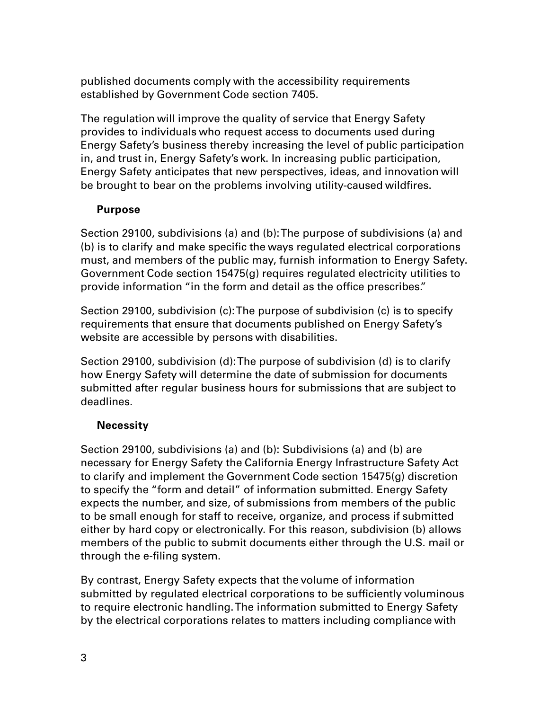published documents comply with the accessibility requirements established by Government Code section 7405.

The regulation will improve the quality of service that Energy Safety provides to individuals who request access to documents used during Energy Safety's business thereby increasing the level of public participation in, and trust in, Energy Safety's work. In increasing public participation, Energy Safety anticipates that new perspectives, ideas, and innovation will be brought to bear on the problems involving utility-caused wildfires.

## **Purpose**

Section 29100, subdivisions (a) and (b): The purpose of subdivisions (a) and (b) is to clarify and make specific the ways regulated electrical corporations must, and members of the public may, furnish information to Energy Safety. Government Code section 15475(g) requires regulated electricity utilities to provide information "in the form and detail as the office prescribes."

Section 29100, subdivision (c): The purpose of subdivision (c) is to specify requirements that ensure that documents published on Energy Safety's website are accessible by persons with disabilities.

Section 29100, subdivision (d): The purpose of subdivision (d) is to clarify how Energy Safety will determine the date of submission for documents submitted after regular business hours for submissions that are subject to deadlines.

## **Necessity**

Section 29100, subdivisions (a) and (b): Subdivisions (a) and (b) are necessary for Energy Safety the California Energy Infrastructure Safety Act to clarify and implement the Government Code section 15475(g) discretion to specify the "form and detail" of information submitted. Energy Safety expects the number, and size, of submissions from members of the public to be small enough for staff to receive, organize, and process if submitted either by hard copy or electronically. For this reason, subdivision (b) allows members of the public to submit documents either through the U.S. mail or through the e-filing system.

By contrast, Energy Safety expects that the volume of information submitted by regulated electrical corporations to be sufficiently voluminous to require electronic handling. The information submitted to Energy Safety by the electrical corporations relates to matters including compliance with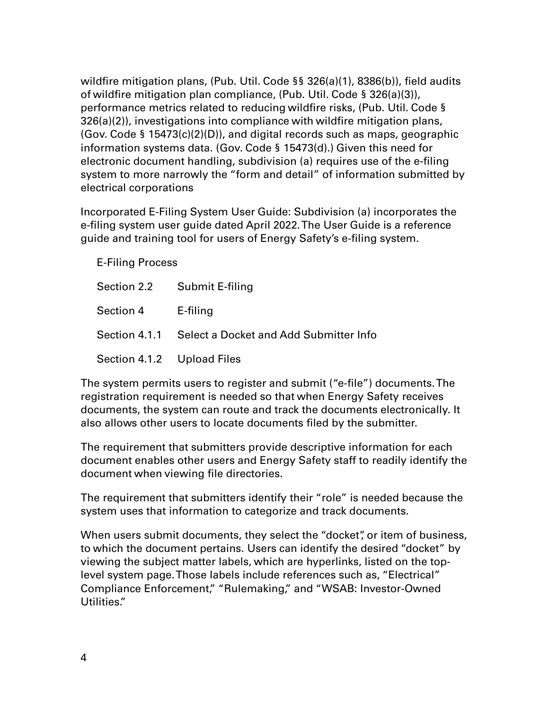wildfire mitigation plans, (Pub. Util. Code §§ 326(a)(1), 8386(b)), field audits of wildfire mitigation plan compliance, (Pub. Util. Code § 326(a)(3)), performance metrics related to reducing wildfire risks, (Pub. Util. Code § 326(a)(2)), investigations into compliance with wildfire mitigation plans, (Gov. Code § 15473(c)(2)(D)), and digital records such as maps, geographic information systems data. (Gov. Code § 15473(d).) Given this need for electronic document handling, subdivision (a) requires use of the e-filing system to more narrowly the "form and detail" of information submitted by electrical corporations

Incorporated E-Filing System User Guide: Subdivision (a) incorporates the e-filing system user guide dated April 2022. The User Guide is a reference guide and training tool for users of Energy Safety's e-filing system.

E-Filing Process

|                            | Section 2.2 Submit E-filing                          |
|----------------------------|------------------------------------------------------|
| Section 4 E-filing         |                                                      |
|                            | Section 4.1.1 Select a Docket and Add Submitter Info |
| Section 4.1.2 Upload Files |                                                      |

The system permits users to register and submit ("e-file") documents. The registration requirement is needed so that when Energy Safety receives documents, the system can route and track the documents electronically. It also allows other users to locate documents filed by the submitter.

The requirement that submitters provide descriptive information for each document enables other users and Energy Safety staff to readily identify the document when viewing file directories.

The requirement that submitters identify their "role" is needed because the system uses that information to categorize and track documents.

When users submit documents, they select the "docket", or item of business, to which the document pertains. Users can identify the desired "docket" by viewing the subject matter labels, which are hyperlinks, listed on the toplevel system page. Those labels include references such as, "Electrical" Compliance Enforcement," "Rulemaking," and "WSAB: Investor-Owned Utilities."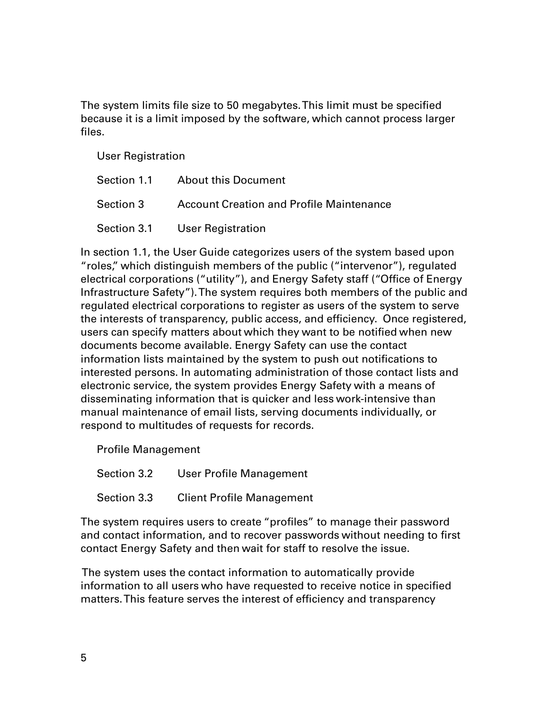The system limits file size to 50 megabytes. This limit must be specified because it is a limit imposed by the software, which cannot process larger files.

User Registration

| Section 1.1 About this Document |
|---------------------------------|
|                                 |
| Section 3.1 User Registration   |

In section 1.1, the User Guide categorizes users of the system based upon "roles," which distinguish members of the public ("intervenor"), regulated electrical corporations ("utility"), and Energy Safety staff ("Office of Energy Infrastructure Safety"). The system requires both members of the public and regulated electrical corporations to register as users of the system to serve the interests of transparency, public access, and efficiency. Once registered, users can specify matters about which they want to be notified when new documents become available. Energy Safety can use the contact information lists maintained by the system to push out notifications to interested persons. In automating administration of those contact lists and electronic service, the system provides Energy Safety with a means of disseminating information that is quicker and less work-intensive than manual maintenance of email lists, serving documents individually, or respond to multitudes of requests for records.

Profile Management

Section 3.2 User Profile Management

Section 3.3 Client Profile Management

The system requires users to create "profiles" to manage their password and contact information, and to recover passwords without needing to first contact Energy Safety and then wait for staff to resolve the issue.

The system uses the contact information to automatically provide information to all users who have requested to receive notice in specified matters. This feature serves the interest of efficiency and transparency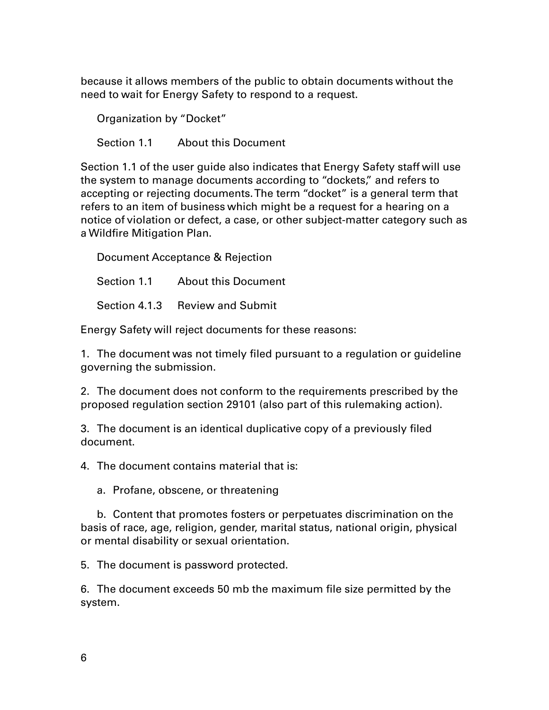because it allows members of the public to obtain documents without the need to wait for Energy Safety to respond to a request.

Organization by "Docket" Section 1.1 About this Document

Section 1.1 of the user guide also indicates that Energy Safety staff will use the system to manage documents according to "dockets," and refers to accepting or rejecting documents. The term "docket" is a general term that refers to an item of business which might be a request for a hearing on a notice of violation or defect, a case, or other subject-matter category such as a Wildfire Mitigation Plan.

Document Acceptance & Rejection

Section 1.1 About this Document

Section 4.1.3 Review and Submit

Energy Safety will reject documents for these reasons:

1. The document was not timely filed pursuant to a regulation or guideline governing the submission.

2. The document does not conform to the requirements prescribed by the proposed regulation section 29101 (also part of this rulemaking action).

3. The document is an identical duplicative copy of a previously filed document.

4. The document contains material that is:

a. Profane, obscene, or threatening

b. Content that promotes fosters or perpetuates discrimination on the basis of race, age, religion, gender, marital status, national origin, physical or mental disability or sexual orientation.

5. The document is password protected.

6. The document exceeds 50 mb the maximum file size permitted by the system.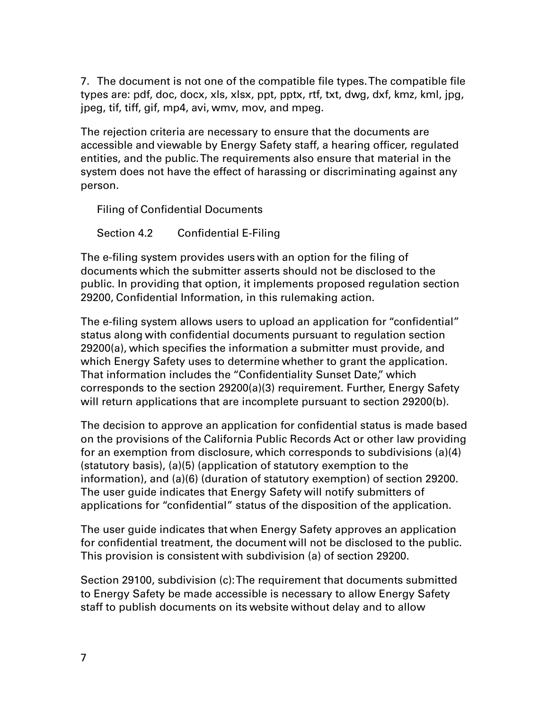7. The document is not one of the compatible file types.The compatible file types are: pdf, doc, docx, xls, xlsx, ppt, pptx, rtf, txt, dwg, dxf, kmz, kml, jpg, jpeg, tif, tiff, gif, mp4, avi, wmv, mov, and mpeg.

The rejection criteria are necessary to ensure that the documents are accessible and viewable by Energy Safety staff, a hearing officer, regulated entities, and the public. The requirements also ensure that material in the system does not have the effect of harassing or discriminating against any person.

Filing of Confidential Documents

Section 4.2 Confidential E-Filing

The e-filing system provides users with an option for the filing of documents which the submitter asserts should not be disclosed to the public. In providing that option, it implements proposed regulation section 29200, Confidential Information, in this rulemaking action.

The e-filing system allows users to upload an application for "confidential" status along with confidential documents pursuant to regulation section 29200(a), which specifies the information a submitter must provide, and which Energy Safety uses to determine whether to grant the application. That information includes the "Confidentiality Sunset Date," which corresponds to the section 29200(a)(3) requirement. Further, Energy Safety will return applications that are incomplete pursuant to section 29200(b).

The decision to approve an application for confidential status is made based on the provisions of the California Public Records Act or other law providing for an exemption from disclosure, which corresponds to subdivisions (a)(4) (statutory basis), (a)(5) (application of statutory exemption to the information), and (a)(6) (duration of statutory exemption) of section 29200. The user guide indicates that Energy Safety will notify submitters of applications for "confidential" status of the disposition of the application.

The user guide indicates that when Energy Safety approves an application for confidential treatment, the document will not be disclosed to the public. This provision is consistent with subdivision (a) of section 29200.

Section 29100, subdivision (c): The requirement that documents submitted to Energy Safety be made accessible is necessary to allow Energy Safety staff to publish documents on its website without delay and to allow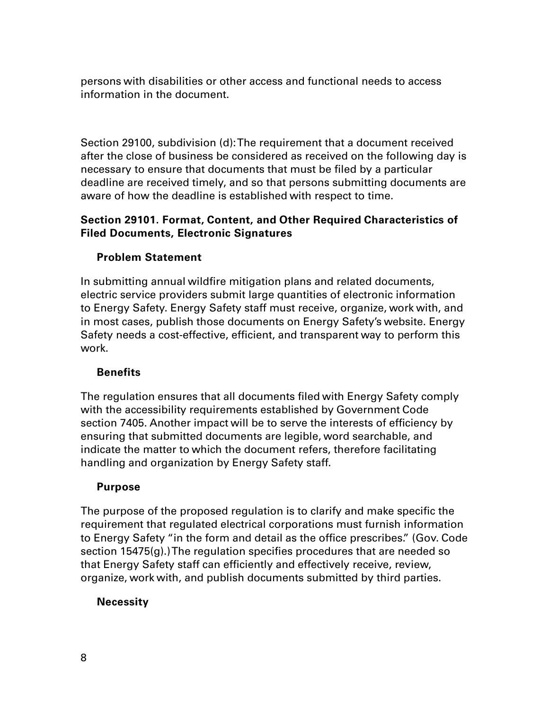persons with disabilities or other access and functional needs to access information in the document.

Section 29100, subdivision (d): The requirement that a document received after the close of business be considered as received on the following day is necessary to ensure that documents that must be filed by a particular deadline are received timely, and so that persons submitting documents are aware of how the deadline is established with respect to time.

## **Section 29101. Format, Content, and Other Required Characteristics of Filed Documents, Electronic Signatures**

## **Problem Statement**

In submitting annual wildfire mitigation plans and related documents, electric service providers submit large quantities of electronic information to Energy Safety. Energy Safety staff must receive, organize, work with, and in most cases, publish those documents on Energy Safety's website. Energy Safety needs a cost-effective, efficient, and transparent way to perform this work.

## **Benefits**

The regulation ensures that all documents filed with Energy Safety comply with the accessibility requirements established by Government Code section 7405. Another impact will be to serve the interests of efficiency by ensuring that submitted documents are legible, word searchable, and indicate the matter to which the document refers, therefore facilitating handling and organization by Energy Safety staff.

## **Purpose**

The purpose of the proposed regulation is to clarify and make specific the requirement that regulated electrical corporations must furnish information to Energy Safety "in the form and detail as the office prescribes." (Gov. Code section 15475(g).)The regulation specifies procedures that are needed so that Energy Safety staff can efficiently and effectively receive, review, organize, work with, and publish documents submitted by third parties.

## **Necessity**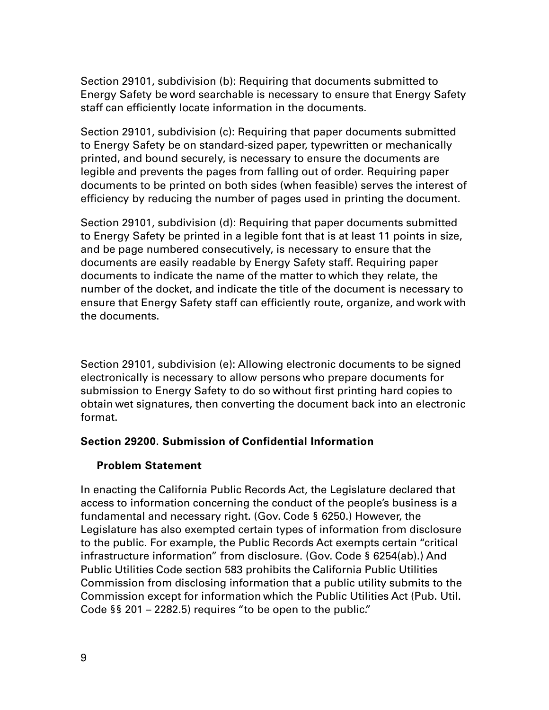Section 29101, subdivision (b): Requiring that documents submitted to Energy Safety be word searchable is necessary to ensure that Energy Safety staff can efficiently locate information in the documents.

Section 29101, subdivision (c): Requiring that paper documents submitted to Energy Safety be on standard-sized paper, typewritten or mechanically printed, and bound securely, is necessary to ensure the documents are legible and prevents the pages from falling out of order. Requiring paper documents to be printed on both sides (when feasible) serves the interest of efficiency by reducing the number of pages used in printing the document.

Section 29101, subdivision (d): Requiring that paper documents submitted to Energy Safety be printed in a legible font that is at least 11 points in size, and be page numbered consecutively, is necessary to ensure that the documents are easily readable by Energy Safety staff. Requiring paper documents to indicate the name of the matter to which they relate, the number of the docket, and indicate the title of the document is necessary to ensure that Energy Safety staff can efficiently route, organize, and work with the documents.

Section 29101, subdivision (e): Allowing electronic documents to be signed electronically is necessary to allow persons who prepare documents for submission to Energy Safety to do so without first printing hard copies to obtain wet signatures, then converting the document back into an electronic format.

## **Section 29200. Submission of Confidential Information**

## **Problem Statement**

In enacting the California Public Records Act, the Legislature declared that access to information concerning the conduct of the people's business is a fundamental and necessary right. (Gov. Code § 6250.) However, the Legislature has also exempted certain types of information from disclosure to the public. For example, the Public Records Act exempts certain "critical infrastructure information" from disclosure. (Gov. Code § 6254(ab).) And Public Utilities Code section 583 prohibits the California Public Utilities Commission from disclosing information that a public utility submits to the Commission except for information which the Public Utilities Act (Pub. Util. Code §§ 201 – 2282.5) requires "to be open to the public."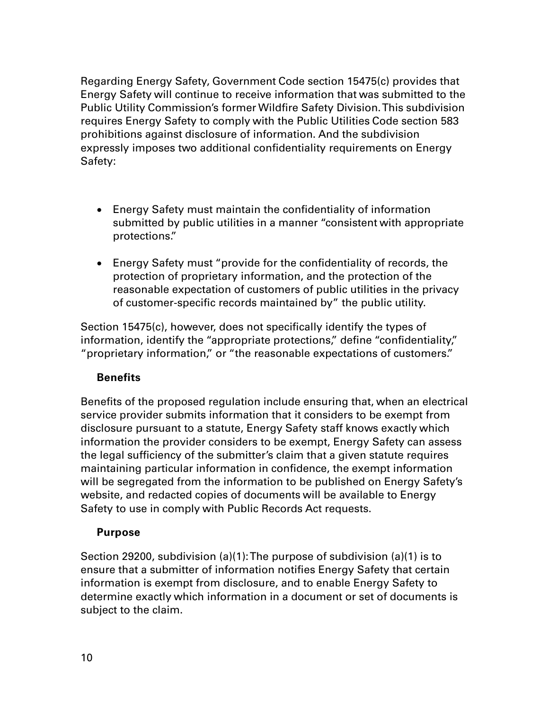Regarding Energy Safety, Government Code section 15475(c) provides that Energy Safety will continue to receive information that was submitted to the Public Utility Commission's former Wildfire Safety Division. This subdivision requires Energy Safety to comply with the Public Utilities Code section 583 prohibitions against disclosure of information. And the subdivision expressly imposes two additional confidentiality requirements on Energy Safety:

- Energy Safety must maintain the confidentiality of information submitted by public utilities in a manner "consistent with appropriate protections."
- Energy Safety must "provide for the confidentiality of records, the protection of proprietary information, and the protection of the reasonable expectation of customers of public utilities in the privacy of customer-specific records maintained by" the public utility.

Section 15475(c), however, does not specifically identify the types of information, identify the "appropriate protections," define "confidentiality," "proprietary information," or "the reasonable expectations of customers."

## **Benefits**

Benefits of the proposed regulation include ensuring that, when an electrical service provider submits information that it considers to be exempt from disclosure pursuant to a statute, Energy Safety staff knows exactly which information the provider considers to be exempt, Energy Safety can assess the legal sufficiency of the submitter's claim that a given statute requires maintaining particular information in confidence, the exempt information will be segregated from the information to be published on Energy Safety's website, and redacted copies of documents will be available to Energy Safety to use in comply with Public Records Act requests.

## **Purpose**

Section 29200, subdivision (a)(1): The purpose of subdivision (a)(1) is to ensure that a submitter of information notifies Energy Safety that certain information is exempt from disclosure, and to enable Energy Safety to determine exactly which information in a document or set of documents is subject to the claim.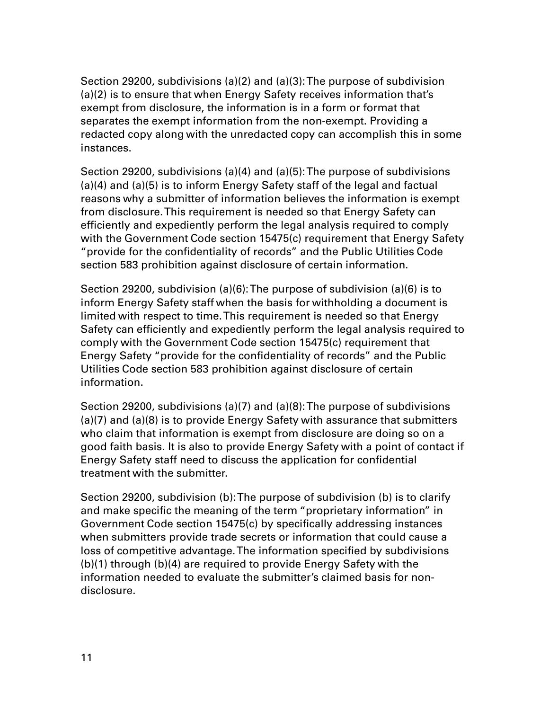Section 29200, subdivisions (a)(2) and (a)(3): The purpose of subdivision (a)(2) is to ensure that when Energy Safety receives information that's exempt from disclosure, the information is in a form or format that separates the exempt information from the non-exempt. Providing a redacted copy along with the unredacted copy can accomplish this in some instances.

Section 29200, subdivisions (a)(4) and (a)(5): The purpose of subdivisions (a)(4) and (a)(5) is to inform Energy Safety staff of the legal and factual reasons why a submitter of information believes the information is exempt from disclosure. This requirement is needed so that Energy Safety can efficiently and expediently perform the legal analysis required to comply with the Government Code section 15475(c) requirement that Energy Safety "provide for the confidentiality of records" and the Public Utilities Code section 583 prohibition against disclosure of certain information.

Section 29200, subdivision (a)(6): The purpose of subdivision (a)(6) is to inform Energy Safety staff when the basis for withholding a document is limited with respect to time. This requirement is needed so that Energy Safety can efficiently and expediently perform the legal analysis required to comply with the Government Code section 15475(c) requirement that Energy Safety "provide for the confidentiality of records" and the Public Utilities Code section 583 prohibition against disclosure of certain information.

Section 29200, subdivisions (a)(7) and (a)(8): The purpose of subdivisions (a)(7) and (a)(8) is to provide Energy Safety with assurance that submitters who claim that information is exempt from disclosure are doing so on a good faith basis. It is also to provide Energy Safety with a point of contact if Energy Safety staff need to discuss the application for confidential treatment with the submitter.

Section 29200, subdivision (b): The purpose of subdivision (b) is to clarify and make specific the meaning of the term "proprietary information" in Government Code section 15475(c) by specifically addressing instances when submitters provide trade secrets or information that could cause a loss of competitive advantage. The information specified by subdivisions (b)(1) through (b)(4) are required to provide Energy Safety with the information needed to evaluate the submitter's claimed basis for nondisclosure.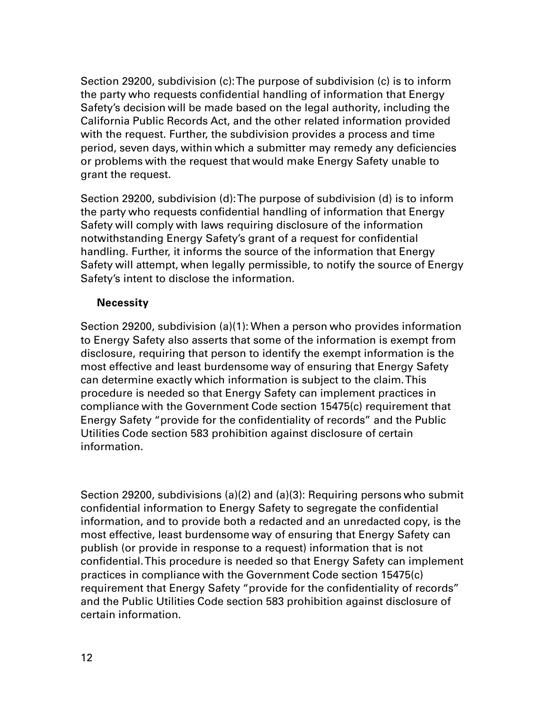Section 29200, subdivision (c): The purpose of subdivision (c) is to inform the party who requests confidential handling of information that Energy Safety's decision will be made based on the legal authority, including the California Public Records Act, and the other related information provided with the request. Further, the subdivision provides a process and time period, seven days, within which a submitter may remedy any deficiencies or problems with the request that would make Energy Safety unable to grant the request.

Section 29200, subdivision (d): The purpose of subdivision (d) is to inform the party who requests confidential handling of information that Energy Safety will comply with laws requiring disclosure of the information notwithstanding Energy Safety's grant of a request for confidential handling. Further, it informs the source of the information that Energy Safety will attempt, when legally permissible, to notify the source of Energy Safety's intent to disclose the information.

#### **Necessity**

Section 29200, subdivision (a)(1): When a person who provides information to Energy Safety also asserts that some of the information is exempt from disclosure, requiring that person to identify the exempt information is the most effective and least burdensome way of ensuring that Energy Safety can determine exactly which information is subject to the claim. This procedure is needed so that Energy Safety can implement practices in compliance with the Government Code section 15475(c) requirement that Energy Safety "provide for the confidentiality of records" and the Public Utilities Code section 583 prohibition against disclosure of certain information.

Section 29200, subdivisions (a)(2) and (a)(3): Requiring persons who submit confidential information to Energy Safety to segregate the confidential information, and to provide both a redacted and an unredacted copy, is the most effective, least burdensome way of ensuring that Energy Safety can publish (or provide in response to a request) information that is not confidential. This procedure is needed so that Energy Safety can implement practices in compliance with the Government Code section 15475(c) requirement that Energy Safety "provide for the confidentiality of records" and the Public Utilities Code section 583 prohibition against disclosure of certain information.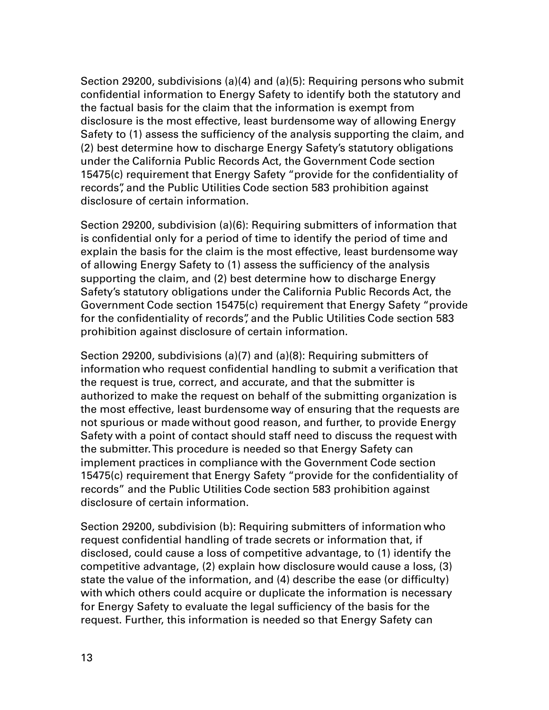Section 29200, subdivisions (a)(4) and (a)(5): Requiring persons who submit confidential information to Energy Safety to identify both the statutory and the factual basis for the claim that the information is exempt from disclosure is the most effective, least burdensome way of allowing Energy Safety to (1) assess the sufficiency of the analysis supporting the claim, and (2) best determine how to discharge Energy Safety's statutory obligations under the California Public Records Act, the Government Code section 15475(c) requirement that Energy Safety "provide for the confidentiality of records", and the Public Utilities Code section 583 prohibition against disclosure of certain information.

Section 29200, subdivision (a)(6): Requiring submitters of information that is confidential only for a period of time to identify the period of time and explain the basis for the claim is the most effective, least burdensome way of allowing Energy Safety to (1) assess the sufficiency of the analysis supporting the claim, and (2) best determine how to discharge Energy Safety's statutory obligations under the California Public Records Act, the Government Code section 15475(c) requirement that Energy Safety "provide for the confidentiality of records", and the Public Utilities Code section 583 prohibition against disclosure of certain information.

Section 29200, subdivisions (a)(7) and (a)(8): Requiring submitters of information who request confidential handling to submit a verification that the request is true, correct, and accurate, and that the submitter is authorized to make the request on behalf of the submitting organization is the most effective, least burdensome way of ensuring that the requests are not spurious or made without good reason, and further, to provide Energy Safety with a point of contact should staff need to discuss the request with the submitter.This procedure is needed so that Energy Safety can implement practices in compliance with the Government Code section 15475(c) requirement that Energy Safety "provide for the confidentiality of records" and the Public Utilities Code section 583 prohibition against disclosure of certain information.

Section 29200, subdivision (b): Requiring submitters of information who request confidential handling of trade secrets or information that, if disclosed, could cause a loss of competitive advantage, to (1) identify the competitive advantage, (2) explain how disclosure would cause a loss, (3) state the value of the information, and (4) describe the ease (or difficulty) with which others could acquire or duplicate the information is necessary for Energy Safety to evaluate the legal sufficiency of the basis for the request. Further, this information is needed so that Energy Safety can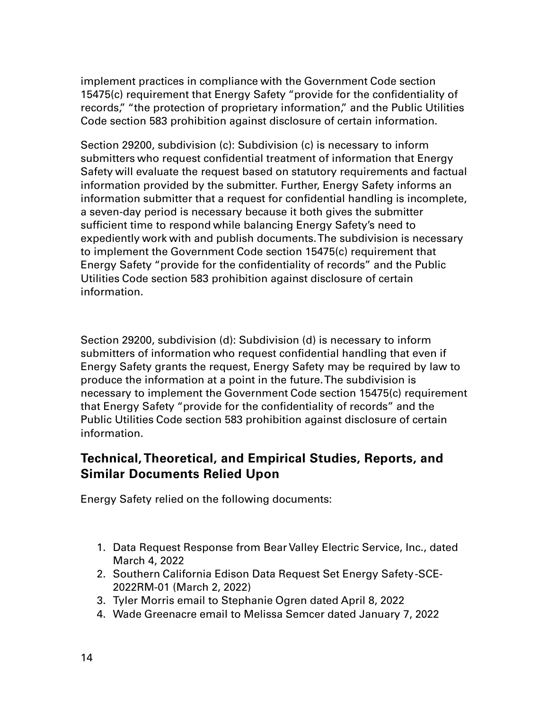implement practices in compliance with the Government Code section 15475(c) requirement that Energy Safety "provide for the confidentiality of records," "the protection of proprietary information," and the Public Utilities Code section 583 prohibition against disclosure of certain information.

Section 29200, subdivision (c): Subdivision (c) is necessary to inform submitters who request confidential treatment of information that Energy Safety will evaluate the request based on statutory requirements and factual information provided by the submitter. Further, Energy Safety informs an information submitter that a request for confidential handling is incomplete, a seven-day period is necessary because it both gives the submitter sufficient time to respond while balancing Energy Safety's need to expediently work with and publish documents. The subdivision is necessary to implement the Government Code section 15475(c) requirement that Energy Safety "provide for the confidentiality of records" and the Public Utilities Code section 583 prohibition against disclosure of certain information.

Section 29200, subdivision (d): Subdivision (d) is necessary to inform submitters of information who request confidential handling that even if Energy Safety grants the request, Energy Safety may be required by law to produce the information at a point in the future. The subdivision is necessary to implement the Government Code section 15475(c) requirement that Energy Safety "provide for the confidentiality of records" and the Public Utilities Code section 583 prohibition against disclosure of certain information.

## **Technical, Theoretical, and Empirical Studies, Reports, and Similar Documents Relied Upon**

Energy Safety relied on the following documents:

- 1. Data Request Response from Bear Valley Electric Service, Inc., dated March 4, 2022
- 2. Southern California Edison Data Request Set Energy Safety -SCE-2022RM-01 (March 2, 2022)
- 3. Tyler Morris email to Stephanie Ogren dated April 8, 2022
- 4. Wade Greenacre email to Melissa Semcer dated January 7, 2022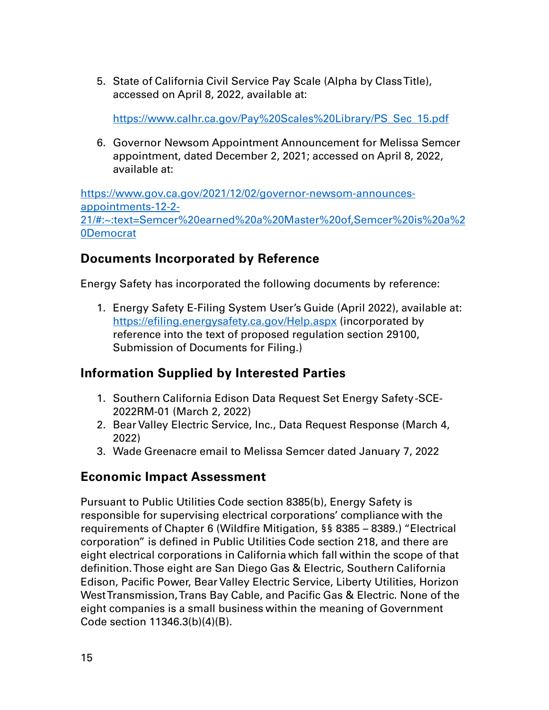5. State of California Civil Service Pay Scale (Alpha by Class Title), accessed on April 8, 2022, available at:

[https://www.calhr.ca.gov/Pay%20Scales%20Library/PS\\_Sec\\_15.pdf](https://www.calhr.ca.gov/Pay%20Scales%20Library/PS_Sec_15.pdf)

6. Governor Newsom Appointment Announcement for Melissa Semcer appointment, dated December 2, 2021; accessed on April 8, 2022, available at:

[https://www.gov.ca.gov/2021/12/02/governor-newsom-announces](https://www.gov.ca.gov/2021/12/02/governor-newsom-announces-appointments-12-2-21/#:%7E:text=Semcer%20earned%20a%20Master%20of,Semcer%20is%20a%20Democrat)[appointments-12-2-](https://www.gov.ca.gov/2021/12/02/governor-newsom-announces-appointments-12-2-21/#:%7E:text=Semcer%20earned%20a%20Master%20of,Semcer%20is%20a%20Democrat) [21/#:~:text=Semcer%20earned%20a%20Master%20of,Semcer%20is%20a%2](https://www.gov.ca.gov/2021/12/02/governor-newsom-announces-appointments-12-2-21/#:%7E:text=Semcer%20earned%20a%20Master%20of,Semcer%20is%20a%20Democrat) [0Democrat](https://www.gov.ca.gov/2021/12/02/governor-newsom-announces-appointments-12-2-21/#:%7E:text=Semcer%20earned%20a%20Master%20of,Semcer%20is%20a%20Democrat) 

## **Documents Incorporated by Reference**

Energy Safety has incorporated the following documents by reference:

1. Energy Safety E-Filing System User's Guide (April 2022), available at: <https://efiling.energysafety.ca.gov/Help.aspx>(incorporated by reference into the text of proposed regulation section 29100, Submission of Documents for Filing.)

## **Information Supplied by Interested Parties**

- 1. Southern California Edison Data Request Set Energy Safety -SCE-2022RM-01 (March 2, 2022)
- 2. Bear Valley Electric Service, Inc., Data Request Response (March 4, 2022)
- 3. Wade Greenacre email to Melissa Semcer dated January 7, 2022

## **Economic Impact Assessment**

Pursuant to Public Utilities Code section 8385(b), Energy Safety is responsible for supervising electrical corporations' compliance with the requirements of Chapter 6 (Wildfire Mitigation, §§ 8385 – 8389.) "Electrical corporation" is defined in Public Utilities Code section 218, and there are eight electrical corporations in California which fall within the scope of that definition. Those eight are San Diego Gas & Electric, Southern California Edison, Pacific Power, Bear Valley Electric Service, Liberty Utilities, Horizon West Transmission, Trans Bay Cable, and Pacific Gas & Electric. None of the eight companies is a small business within the meaning of Government Code section 11346.3(b)(4)(B).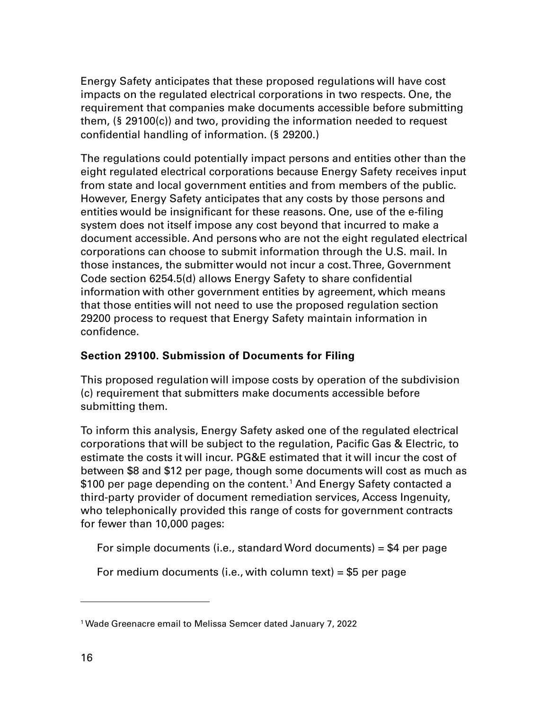Energy Safety anticipates that these proposed regulations will have cost impacts on the regulated electrical corporations in two respects. One, the requirement that companies make documents accessible before submitting them, (§ 29100(c)) and two, providing the information needed to request confidential handling of information. (§ 29200.)

The regulations could potentially impact persons and entities other than the eight regulated electrical corporations because Energy Safety receives input from state and local government entities and from members of the public. However, Energy Safety anticipates that any costs by those persons and entities would be insignificant for these reasons. One, use of the e-filing system does not itself impose any cost beyond that incurred to make a document accessible. And persons who are not the eight regulated electrical corporations can choose to submit information through the U.S. mail. In those instances, the submitter would not incur a cost.Three, Government Code section 6254.5(d) allows Energy Safety to share confidential information with other government entities by agreement, which means that those entities will not need to use the proposed regulation section 29200 process to request that Energy Safety maintain information in confidence.

## **Section 29100. Submission of Documents for Filing**

This proposed regulation will impose costs by operation of the subdivision (c) requirement that submitters make documents accessible before submitting them.

To inform this analysis, Energy Safety asked one of the regulated electrical corporations that will be subject to the regulation, Pacific Gas & Electric, to estimate the costs it will incur. PG&E estimated that it will incur the cost of between \$8 and \$12 per page, though some documents will cost as much as \$[1](#page-15-0)00 per page depending on the content.<sup>1</sup> And Energy Safety contacted a third-party provider of document remediation services, Access Ingenuity, who telephonically provided this range of costs for government contracts for fewer than 10,000 pages:

For simple documents (i.e., standard Word documents) = \$4 per page

For medium documents (i.e., with column text) =  $$5$  per page

<span id="page-15-0"></span><sup>1</sup> Wade Greenacre email to Melissa Semcer dated January 7, 2022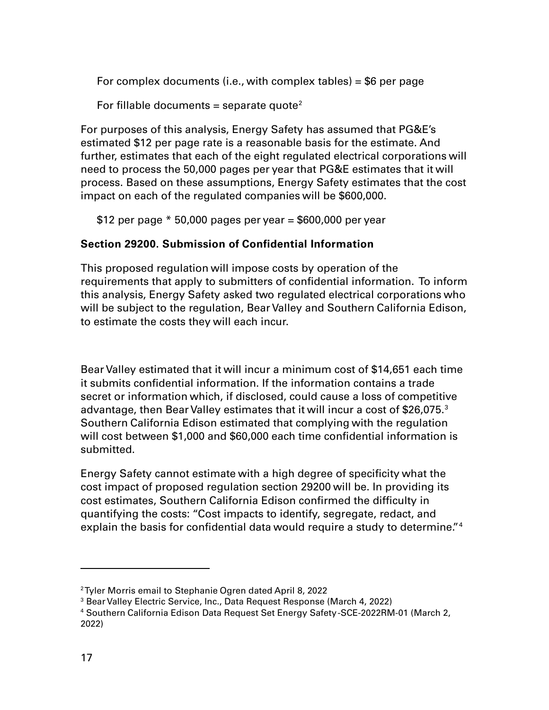For complex documents (i.e., with complex tables) =  $$6$  per page

For fillable documents = separate quote<sup>[2](#page-16-0)</sup>

For purposes of this analysis, Energy Safety has assumed that PG&E's estimated \$12 per page rate is a reasonable basis for the estimate. And further, estimates that each of the eight regulated electrical corporations will need to process the 50,000 pages per year that PG&E estimates that it will process. Based on these assumptions, Energy Safety estimates that the cost impact on each of the regulated companies will be \$600,000.

\$12 per page  $*$  50,000 pages per year = \$600,000 per year

## **Section 29200. Submission of Confidential Information**

This proposed regulation will impose costs by operation of the requirements that apply to submitters of confidential information. To inform this analysis, Energy Safety asked two regulated electrical corporations who will be subject to the regulation, Bear Valley and Southern California Edison, to estimate the costs they will each incur.

Bear Valley estimated that it will incur a minimum cost of \$14,651 each time it submits confidential information. If the information contains a trade secret or information which, if disclosed, could cause a loss of competitive advantage, then Bear Valley estimates that it will incur a cost of \$26,075.<sup>[3](#page-16-1)</sup> Southern California Edison estimated that complying with the regulation will cost between \$1,000 and \$60,000 each time confidential information is submitted.

Energy Safety cannot estimate with a high degree of specificity what the cost impact of proposed regulation section 29200 will be. In providing its cost estimates, Southern California Edison confirmed the difficulty in quantifying the costs: "Cost impacts to identify, segregate, redact, and explain the basis for confidential data would require a study to determine."<sup>[4](#page-16-2)</sup>

<span id="page-16-0"></span><sup>2</sup>Tyler Morris email to Stephanie Ogren dated April 8, 2022

<span id="page-16-1"></span><sup>&</sup>lt;sup>3</sup> Bear Valley Electric Service, Inc., Data Request Response (March 4, 2022)

<span id="page-16-2"></span><sup>4</sup> Southern California Edison Data Request Set Energy Safety -SCE-2022RM-01 (March 2, 2022)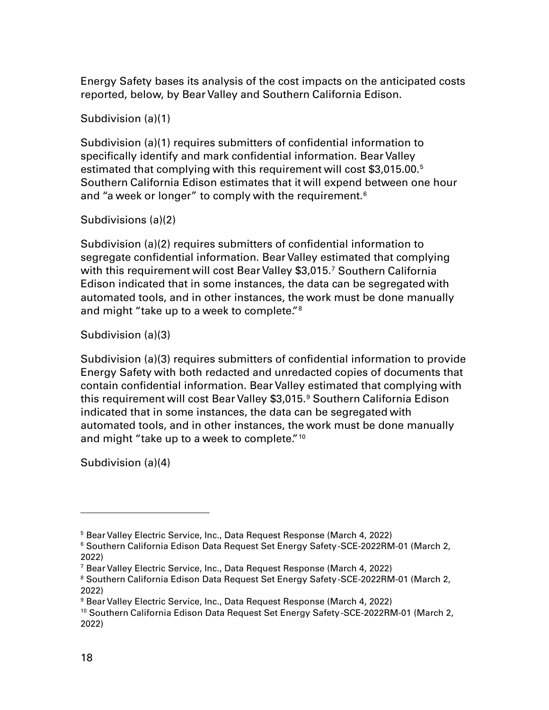Energy Safety bases its analysis of the cost impacts on the anticipated costs reported, below, by Bear Valley and Southern California Edison.

Subdivision (a)(1)

Subdivision (a)(1) requires submitters of confidential information to specifically identify and mark confidential information. Bear Valley estimated that complying with this requirement will cost \$3,015.00[.5](#page-17-0) Southern California Edison estimates that it will expend between one hour and "a week or longer" to comply with the requirement.<sup>[6](#page-17-1)</sup>

## Subdivisions (a)(2)

Subdivision (a)(2) requires submitters of confidential information to segregate confidential information. Bear Valley estimated that complying with this requirement will cost Bear Valley \$3,015.<sup>[7](#page-17-2)</sup> Southern California Edison indicated that in some instances, the data can be segregated with automated tools, and in other instances, the work must be done manually and might "take up to a week to complete."<sup>[8](#page-17-3)</sup>

## Subdivision (a)(3)

Subdivision (a)(3) requires submitters of confidential information to provide Energy Safety with both redacted and unredacted copies of documents that contain confidential information. Bear Valley estimated that complying with this requirement will cost Bear Valley \$3,015.<sup>[9](#page-17-4)</sup> Southern California Edison indicated that in some instances, the data can be segregated with automated tools, and in other instances, the work must be done manually and might "take up to a week to complete."<sup>[10](#page-17-5)</sup>

Subdivision (a)(4)

<span id="page-17-0"></span><sup>&</sup>lt;sup>5</sup> Bear Valley Electric Service, Inc., Data Request Response (March 4, 2022)

<span id="page-17-1"></span><sup>6</sup> Southern California Edison Data Request Set Energy Safety -SCE-2022RM-01 (March 2, 2022)

<span id="page-17-2"></span><sup>7</sup> Bear Valley Electric Service, Inc., Data Request Response (March 4, 2022)

<span id="page-17-3"></span><sup>&</sup>lt;sup>8</sup> Southern California Edison Data Request Set Energy Safety-SCE-2022RM-01 (March 2, 2022)

<span id="page-17-4"></span><sup>&</sup>lt;sup>9</sup> Bear Valley Electric Service, Inc., Data Request Response (March 4, 2022)

<span id="page-17-5"></span><sup>&</sup>lt;sup>10</sup> Southern California Edison Data Request Set Energy Safety-SCE-2022RM-01 (March 2, 2022)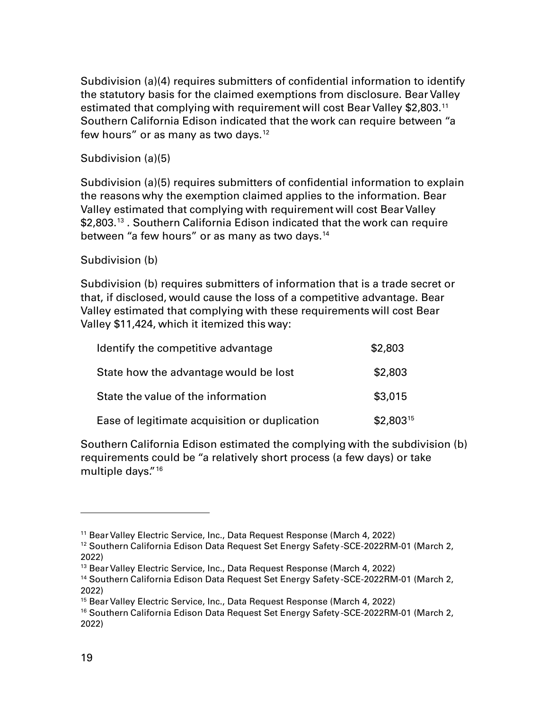Subdivision (a)(4) requires submitters of confidential information to identify the statutory basis for the claimed exemptions from disclosure. Bear Valley estimated that complying with requirement will cost Bear Valley \$2,803.[11](#page-18-0) Southern California Edison indicated that the work can require between "a few hours" or as many as two days. $12$ 

#### Subdivision (a)(5)

Subdivision (a)(5) requires submitters of confidential information to explain the reasons why the exemption claimed applies to the information. Bear Valley estimated that complying with requirement will cost Bear Valley \$2,803.<sup>[13](#page-18-2)</sup> . Southern California Edison indicated that the work can require between "a few hours" or as many as two days.<sup>[14](#page-18-3)</sup>

#### Subdivision (b)

Subdivision (b) requires submitters of information that is a trade secret or that, if disclosed, would cause the loss of a competitive advantage. Bear Valley estimated that complying with these requirements will cost Bear Valley \$11,424, which it itemized this way:

| Identify the competitive advantage            | \$2,803       |
|-----------------------------------------------|---------------|
| State how the advantage would be lost         | \$2,803       |
| State the value of the information            | \$3,015       |
| Ease of legitimate acquisition or duplication | $$2,803^{15}$ |

Southern California Edison estimated the complying with the subdivision (b) requirements could be "a relatively short process (a few days) or take multiple days."[16](#page-18-5) 

<span id="page-18-0"></span><sup>&</sup>lt;sup>11</sup> Bear Valley Electric Service, Inc., Data Request Response (March 4, 2022)

<span id="page-18-1"></span><sup>&</sup>lt;sup>12</sup> Southern California Edison Data Request Set Energy Safety-SCE-2022RM-01 (March 2, 2022)

<span id="page-18-2"></span><sup>&</sup>lt;sup>13</sup> Bear Valley Electric Service, Inc., Data Request Response (March 4, 2022)

<span id="page-18-3"></span><sup>&</sup>lt;sup>14</sup> Southern California Edison Data Request Set Energy Safety-SCE-2022RM-01 (March 2, 2022)

<span id="page-18-4"></span><sup>&</sup>lt;sup>15</sup> Bear Valley Electric Service, Inc., Data Request Response (March 4, 2022)

<span id="page-18-5"></span><sup>&</sup>lt;sup>16</sup> Southern California Edison Data Request Set Energy Safety-SCE-2022RM-01 (March 2, 2022)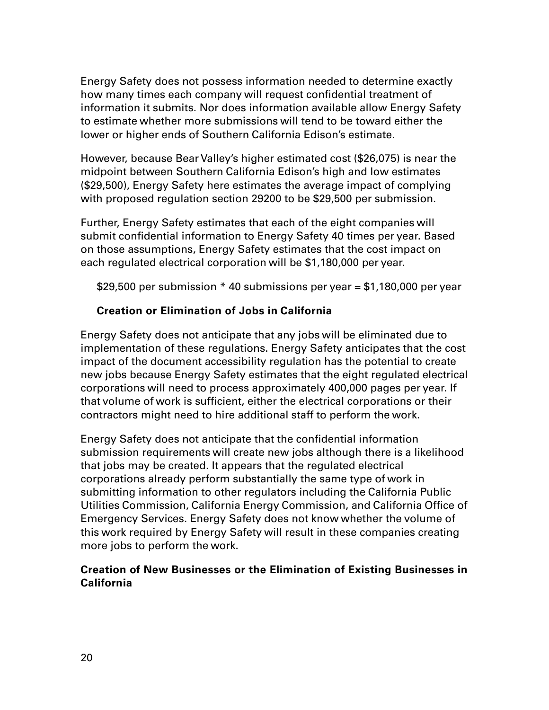Energy Safety does not possess information needed to determine exactly how many times each company will request confidential treatment of information it submits. Nor does information available allow Energy Safety to estimate whether more submissions will tend to be toward either the lower or higher ends of Southern California Edison's estimate.

However, because Bear Valley's higher estimated cost (\$26,075) is near the midpoint between Southern California Edison's high and low estimates (\$29,500), Energy Safety here estimates the average impact of complying with proposed regulation section 29200 to be \$29,500 per submission.

Further, Energy Safety estimates that each of the eight companies will submit confidential information to Energy Safety 40 times per year. Based on those assumptions, Energy Safety estimates that the cost impact on each regulated electrical corporation will be \$1,180,000 per year.

\$29,500 per submission  $*$  40 submissions per year = \$1,180,000 per year

## **Creation or Elimination of Jobs in California**

Energy Safety does not anticipate that any jobs will be eliminated due to implementation of these regulations. Energy Safety anticipates that the cost impact of the document accessibility regulation has the potential to create new jobs because Energy Safety estimates that the eight regulated electrical corporations will need to process approximately 400,000 pages per year. If that volume of work is sufficient, either the electrical corporations or their contractors might need to hire additional staff to perform the work.

Energy Safety does not anticipate that the confidential information submission requirements will create new jobs although there is a likelihood that jobs may be created. It appears that the regulated electrical corporations already perform substantially the same type of work in submitting information to other regulators including the California Public Utilities Commission, California Energy Commission, and California Office of Emergency Services. Energy Safety does not know whether the volume of this work required by Energy Safety will result in these companies creating more jobs to perform the work.

#### **Creation of New Businesses or the Elimination of Existing Businesses in California**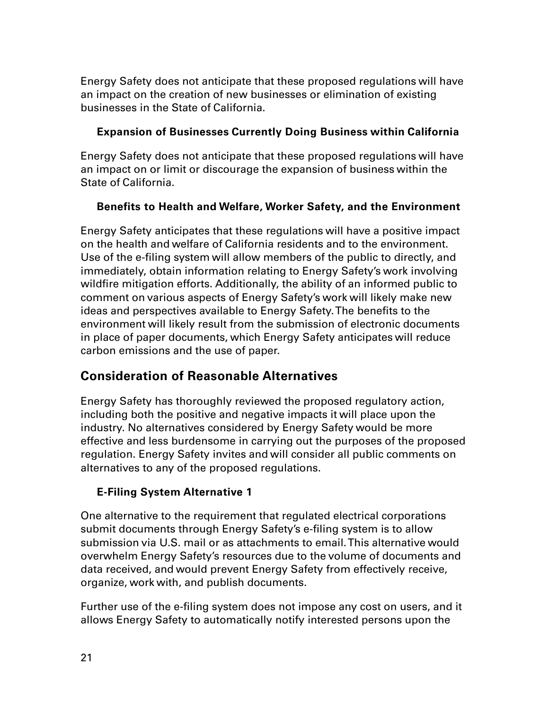Energy Safety does not anticipate that these proposed regulations will have an impact on the creation of new businesses or elimination of existing businesses in the State of California.

## **Expansion of Businesses Currently Doing Business within California**

Energy Safety does not anticipate that these proposed regulations will have an impact on or limit or discourage the expansion of business within the State of California.

## **Benefits to Health and Welfare, Worker Safety, and the Environment**

Energy Safety anticipates that these regulations will have a positive impact on the health and welfare of California residents and to the environment. Use of the e-filing system will allow members of the public to directly, and immediately, obtain information relating to Energy Safety's work involving wildfire mitigation efforts. Additionally, the ability of an informed public to comment on various aspects of Energy Safety's work will likely make new ideas and perspectives available to Energy Safety. The benefits to the environment will likely result from the submission of electronic documents in place of paper documents, which Energy Safety anticipates will reduce carbon emissions and the use of paper.

## **Consideration of Reasonable Alternatives**

Energy Safety has thoroughly reviewed the proposed regulatory action, including both the positive and negative impacts it will place upon the industry. No alternatives considered by Energy Safety would be more effective and less burdensome in carrying out the purposes of the proposed regulation. Energy Safety invites and will consider all public comments on alternatives to any of the proposed regulations.

## **E-Filing System Alternative 1**

One alternative to the requirement that regulated electrical corporations submit documents through Energy Safety's e-filing system is to allow submission via U.S. mail or as attachments to email. This alternative would overwhelm Energy Safety's resources due to the volume of documents and data received, and would prevent Energy Safety from effectively receive, organize, work with, and publish documents.

Further use of the e-filing system does not impose any cost on users, and it allows Energy Safety to automatically notify interested persons upon the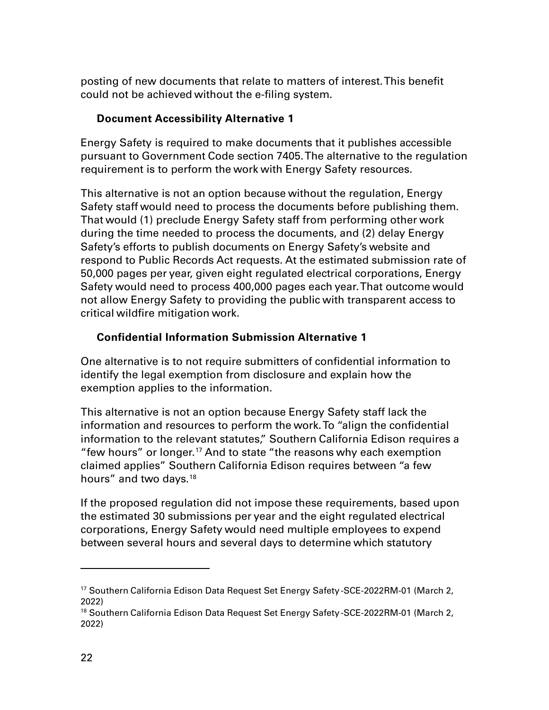posting of new documents that relate to matters of interest. This benefit could not be achieved without the e-filing system.

## **Document Accessibility Alternative 1**

Energy Safety is required to make documents that it publishes accessible pursuant to Government Code section 7405. The alternative to the regulation requirement is to perform the work with Energy Safety resources.

This alternative is not an option because without the regulation, Energy Safety staff would need to process the documents before publishing them. That would (1) preclude Energy Safety staff from performing other work during the time needed to process the documents, and (2) delay Energy Safety's efforts to publish documents on Energy Safety's website and respond to Public Records Act requests. At the estimated submission rate of 50,000 pages per year, given eight regulated electrical corporations, Energy Safety would need to process 400,000 pages each year.That outcome would not allow Energy Safety to providing the public with transparent access to critical wildfire mitigation work.

## **Confidential Information Submission Alternative 1**

One alternative is to not require submitters of confidential information to identify the legal exemption from disclosure and explain how the exemption applies to the information.

This alternative is not an option because Energy Safety staff lack the information and resources to perform the work. To "align the confidential information to the relevant statutes," Southern California Edison requires a "few hours" or longer.[17](#page-21-0) And to state "the reasons why each exemption claimed applies" Southern California Edison requires between "a few hours" and two days.<sup>[18](#page-21-1)</sup>

If the proposed regulation did not impose these requirements, based upon the estimated 30 submissions per year and the eight regulated electrical corporations, Energy Safety would need multiple employees to expend between several hours and several days to determine which statutory

<span id="page-21-0"></span><sup>&</sup>lt;sup>17</sup> Southern California Edison Data Request Set Energy Safety-SCE-2022RM-01 (March 2, 2022)

<span id="page-21-1"></span><sup>&</sup>lt;sup>18</sup> Southern California Edison Data Request Set Energy Safety-SCE-2022RM-01 (March 2, 2022)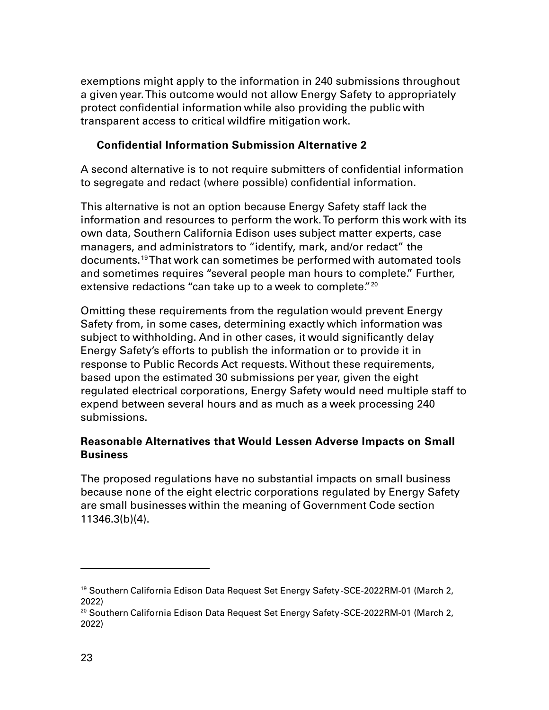exemptions might apply to the information in 240 submissions throughout a given year. This outcome would not allow Energy Safety to appropriately protect confidential information while also providing the public with transparent access to critical wildfire mitigation work.

## **Confidential Information Submission Alternative 2**

A second alternative is to not require submitters of confidential information to segregate and redact (where possible) confidential information.

This alternative is not an option because Energy Safety staff lack the information and resources to perform the work. To perform this work with its own data, Southern California Edison uses subject matter experts, case managers, and administrators to "identify, mark, and/or redact" the documents.[19](#page-22-0)That work can sometimes be performed with automated tools and sometimes requires "several people man hours to complete." Further, extensive redactions "can take up to a week to complete."<sup>[20](#page-22-1)</sup>

Omitting these requirements from the regulation would prevent Energy Safety from, in some cases, determining exactly which information was subject to withholding. And in other cases, it would significantly delay Energy Safety's efforts to publish the information or to provide it in response to Public Records Act requests. Without these requirements, based upon the estimated 30 submissions per year, given the eight regulated electrical corporations, Energy Safety would need multiple staff to expend between several hours and as much as a week processing 240 submissions.

## **Reasonable Alternatives that Would Lessen Adverse Impacts on Small Business**

The proposed regulations have no substantial impacts on small business because none of the eight electric corporations regulated by Energy Safety are small businesses within the meaning of Government Code section 11346.3(b)(4).

<span id="page-22-0"></span><sup>&</sup>lt;sup>19</sup> Southern California Edison Data Request Set Energy Safety-SCE-2022RM-01 (March 2, 2022)

<span id="page-22-1"></span> $^{20}$  Southern California Edison Data Request Set Energy Safety-SCE-2022RM-01 (March 2, 2022)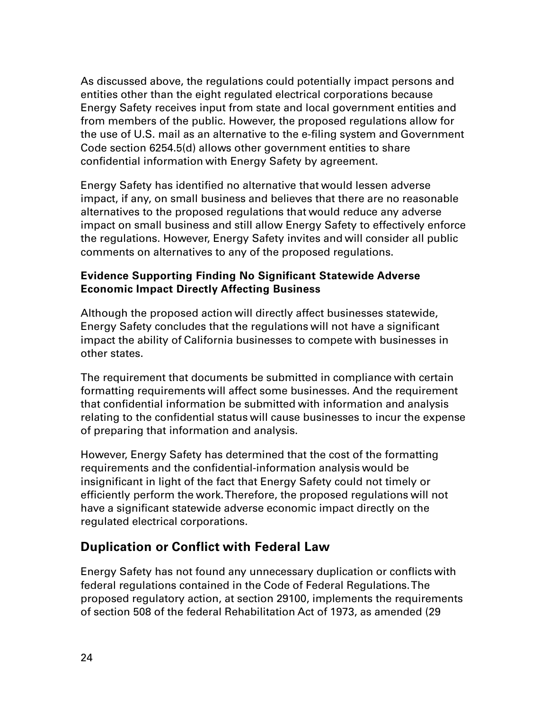As discussed above, the regulations could potentially impact persons and entities other than the eight regulated electrical corporations because Energy Safety receives input from state and local government entities and from members of the public. However, the proposed regulations allow for the use of U.S. mail as an alternative to the e-filing system and Government Code section 6254.5(d) allows other government entities to share confidential information with Energy Safety by agreement.

Energy Safety has identified no alternative that would lessen adverse impact, if any, on small business and believes that there are no reasonable alternatives to the proposed regulations that would reduce any adverse impact on small business and still allow Energy Safety to effectively enforce the regulations. However, Energy Safety invites and will consider all public comments on alternatives to any of the proposed regulations.

## **Evidence Supporting Finding No Significant Statewide Adverse Economic Impact Directly Affecting Business**

Although the proposed action will directly affect businesses statewide, Energy Safety concludes that the regulations will not have a significant impact the ability of California businesses to compete with businesses in other states.

The requirement that documents be submitted in compliance with certain formatting requirements will affect some businesses. And the requirement that confidential information be submitted with information and analysis relating to the confidential status will cause businesses to incur the expense of preparing that information and analysis.

However, Energy Safety has determined that the cost of the formatting requirements and the confidential-information analysis would be insignificant in light of the fact that Energy Safety could not timely or efficiently perform the work.Therefore, the proposed regulations will not have a significant statewide adverse economic impact directly on the regulated electrical corporations.

## **Duplication or Conflict with Federal Law**

Energy Safety has not found any unnecessary duplication or conflicts with federal regulations contained in the Code of Federal Regulations. The proposed regulatory action, at section 29100, implements the requirements of section 508 of the federal Rehabilitation Act of 1973, as amended (29